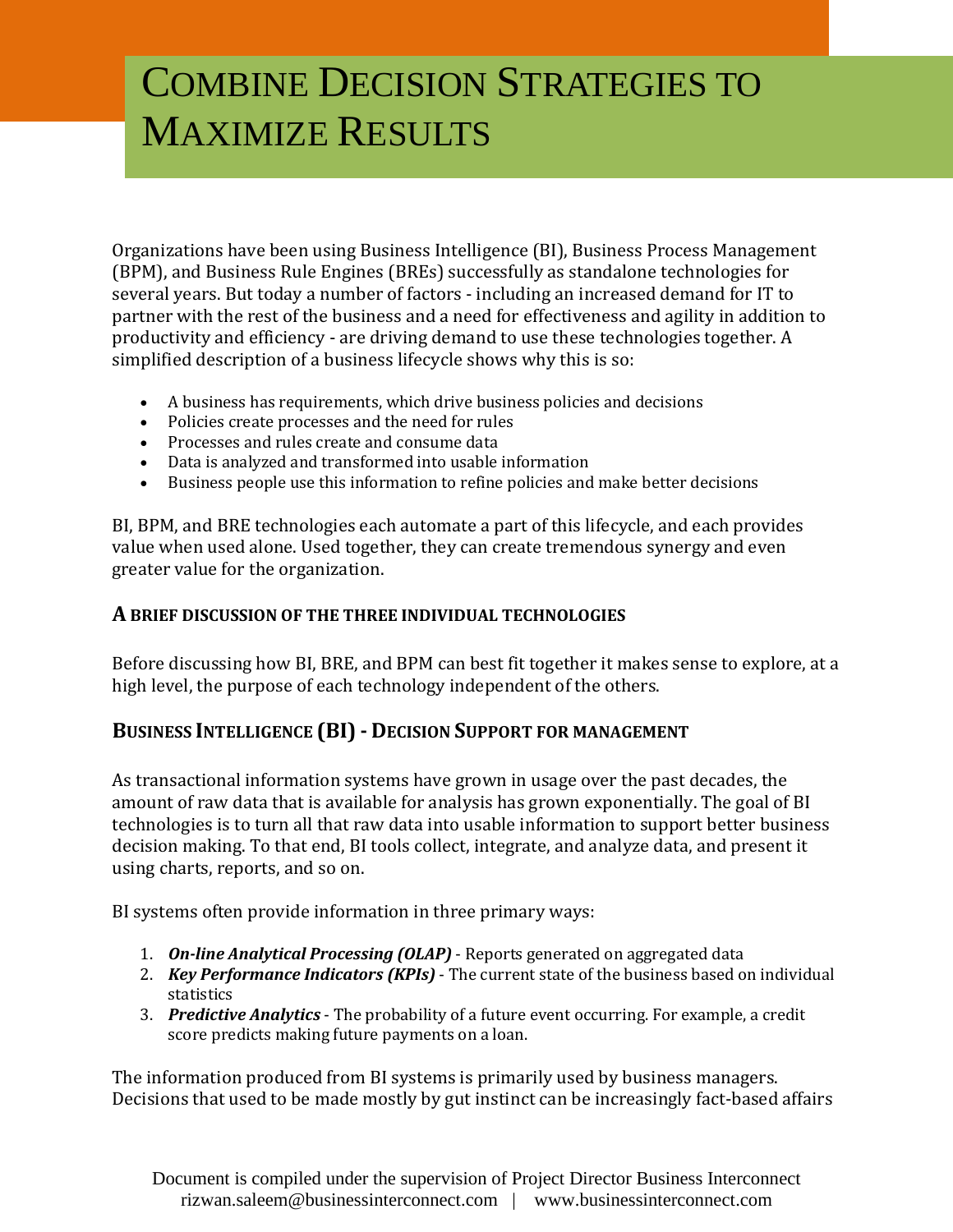# COMBINE DECISION STRATEGIES TO MAXIMIZE RESULTS

Organizations have been using Business Intelligence (BI), Business Process Management (BPM), and Business Rule Engines (BREs) successfully as standalone technologies for several years. But today a number of factors - including an increased demand for IT to partner with the rest of the business and a need for effectiveness and agility in addition to productivity and efficiency - are driving demand to use these technologies together. A simplified description of a business lifecycle shows why this is so:

- A business has requirements, which drive business policies and decisions
- Policies create processes and the need for rules
- Processes and rules create and consume data
- Data is analyzed and transformed into usable information
- Business people use this information to refine policies and make better decisions

BI, BPM, and BRE technologies each automate a part of this lifecycle, and each provides value when used alone. Used together, they can create tremendous synergy and even greater value for the organization.

## **A BRIEF DISCUSSION OF THE THREE INDIVIDUAL TECHNOLOGIES**

Before discussing how BI, BRE, and BPM can best fit together it makes sense to explore, at a high level, the purpose of each technology independent of the others.

# **BUSINESS INTELLIGENCE (BI) - DECISION SUPPORT FOR MANAGEMENT**

As transactional information systems have grown in usage over the past decades, the amount of raw data that is available for analysis has grown exponentially. The goal of BI technologies is to turn all that raw data into usable information to support better business decision making. To that end, BI tools collect, integrate, and analyze data, and present it using charts, reports, and so on.

BI systems often provide information in three primary ways:

- 1. *On-line Analytical Processing (OLAP)* Reports generated on aggregated data
- 2. *Key Performance Indicators (KPIs)* The current state of the business based on individual statistics
- 3. *Predictive Analytics* The probability of a future event occurring. For example, a credit score predicts making future payments on a loan.

The information produced from BI systems is primarily used by business managers. Decisions that used to be made mostly by gut instinct can be increasingly fact-based affairs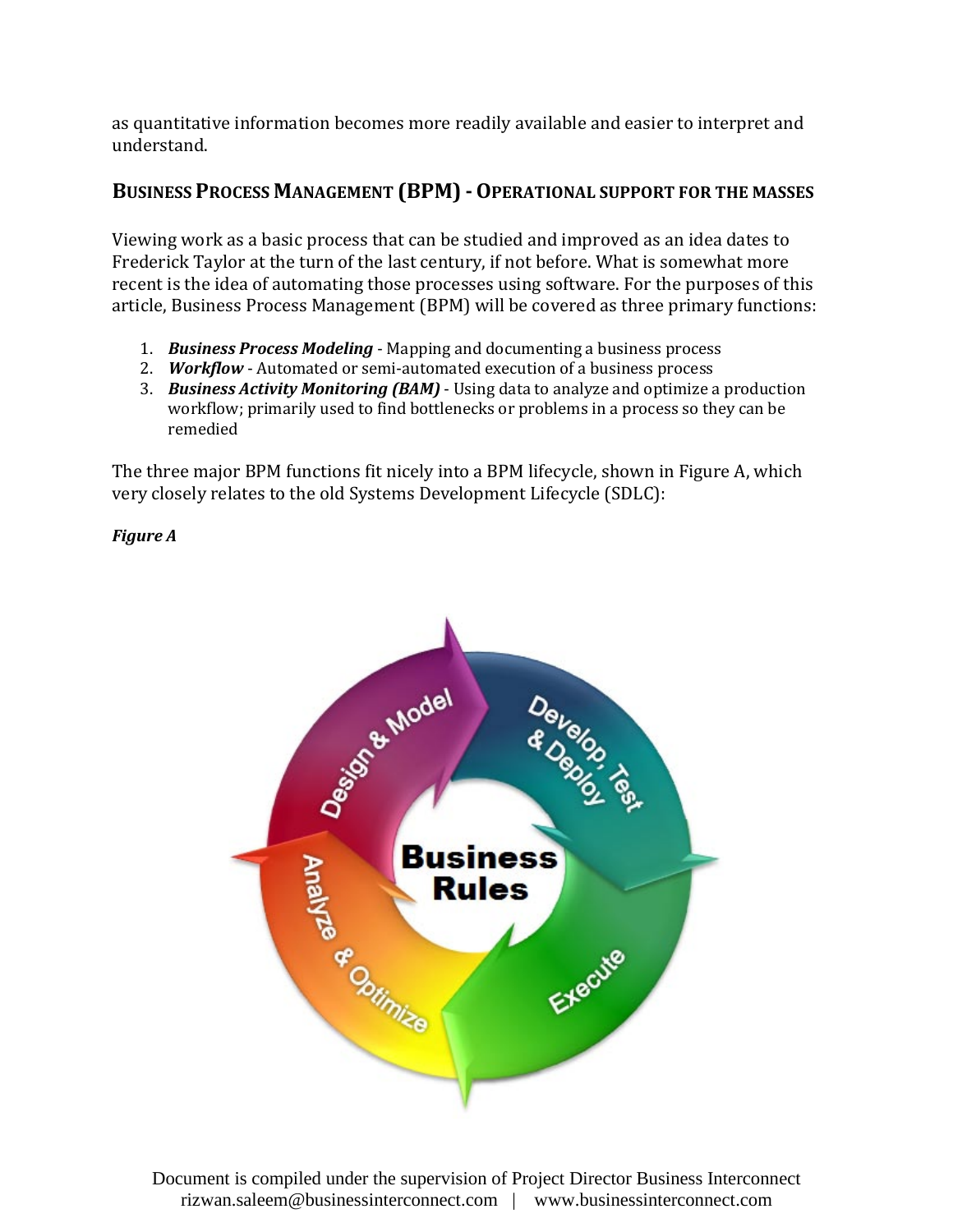as quantitative information becomes more readily available and easier to interpret and understand.

# **BUSINESS PROCESS MANAGEMENT (BPM) -OPERATIONAL SUPPORT FOR THE MASSES**

Viewing work as a basic process that can be studied and improved as an idea dates to Frederick Taylor at the turn of the last century, if not before. What is somewhat more recent is the idea of automating those processes using software. For the purposes of this article, Business Process Management (BPM) will be covered as three primary functions:

- 1. *Business Process Modeling* Mapping and documenting a business process
- 2. *Workflow*  Automated or semi-automated execution of a business process
- 3. *Business Activity Monitoring (BAM)* Using data to analyze and optimize a production workflow; primarily used to find bottlenecks or problems in a process so they can be remedied

The three major BPM functions fit nicely into a BPM lifecycle, shown in Figure A, which very closely relates to the old Systems Development Lifecycle (SDLC):

#### *Figure A*

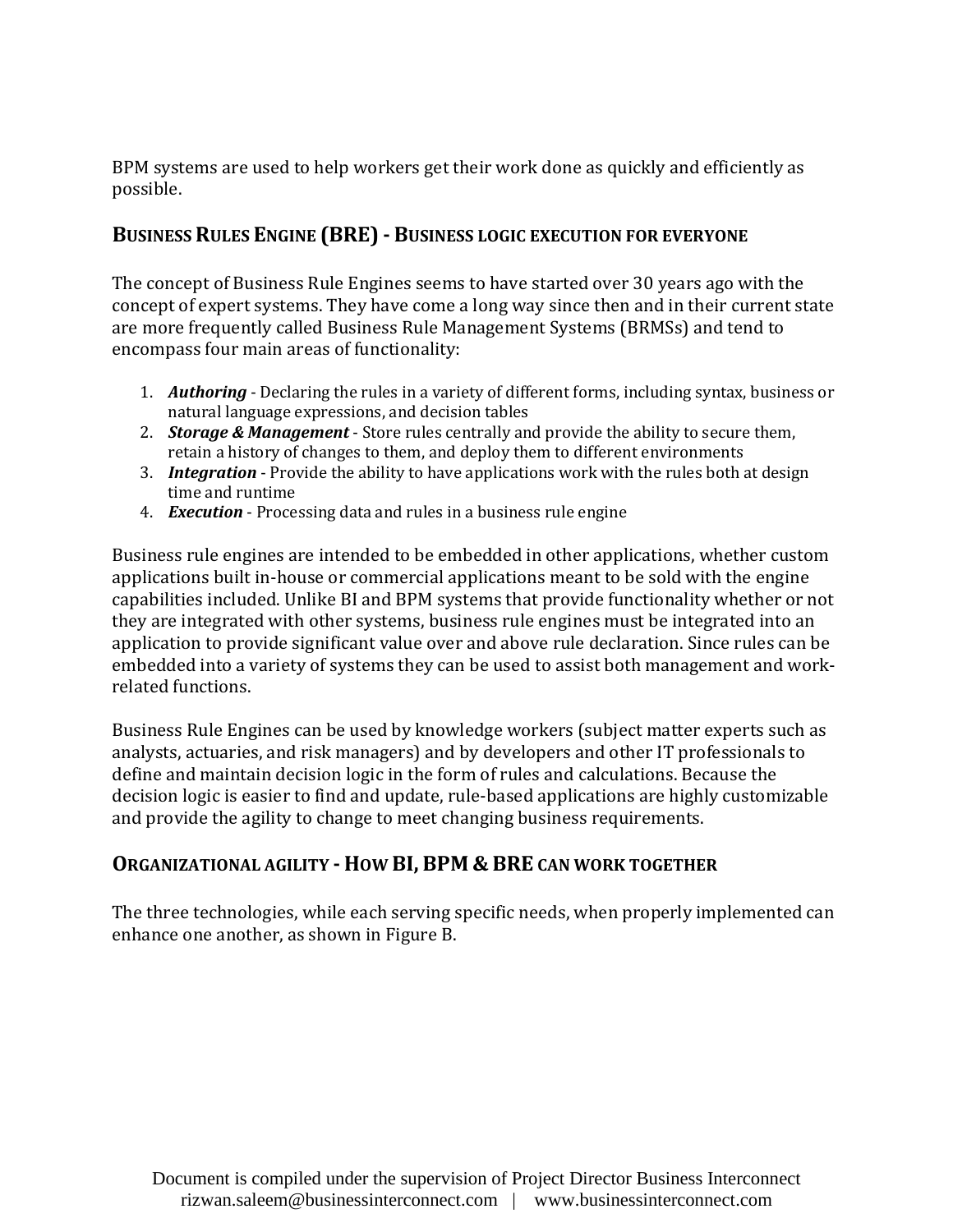BPM systems are used to help workers get their work done as quickly and efficiently as possible.

# **BUSINESS RULES ENGINE (BRE) - BUSINESS LOGIC EXECUTION FOR EVERYONE**

The concept of Business Rule Engines seems to have started over 30 years ago with the concept of expert systems. They have come a long way since then and in their current state are more frequently called Business Rule Management Systems (BRMSs) and tend to encompass four main areas of functionality:

- 1. *Authoring* Declaring the rules in a variety of different forms, including syntax, business or natural language expressions, and decision tables
- 2. *Storage & Management* Store rules centrally and provide the ability to secure them, retain a history of changes to them, and deploy them to different environments
- 3. *Integration*  Provide the ability to have applications work with the rules both at design time and runtime
- 4. *Execution* Processing data and rules in a business rule engine

Business rule engines are intended to be embedded in other applications, whether custom applications built in-house or commercial applications meant to be sold with the engine capabilities included. Unlike BI and BPM systems that provide functionality whether or not they are integrated with other systems, business rule engines must be integrated into an application to provide significant value over and above rule declaration. Since rules can be embedded into a variety of systems they can be used to assist both management and workrelated functions.

Business Rule Engines can be used by knowledge workers (subject matter experts such as analysts, actuaries, and risk managers) and by developers and other IT professionals to define and maintain decision logic in the form of rules and calculations. Because the decision logic is easier to find and update, rule-based applications are highly customizable and provide the agility to change to meet changing business requirements.

# **ORGANIZATIONAL AGILITY - HOW BI, BPM & BRE CAN WORK TOGETHER**

The three technologies, while each serving specific needs, when properly implemented can enhance one another, as shown in Figure B.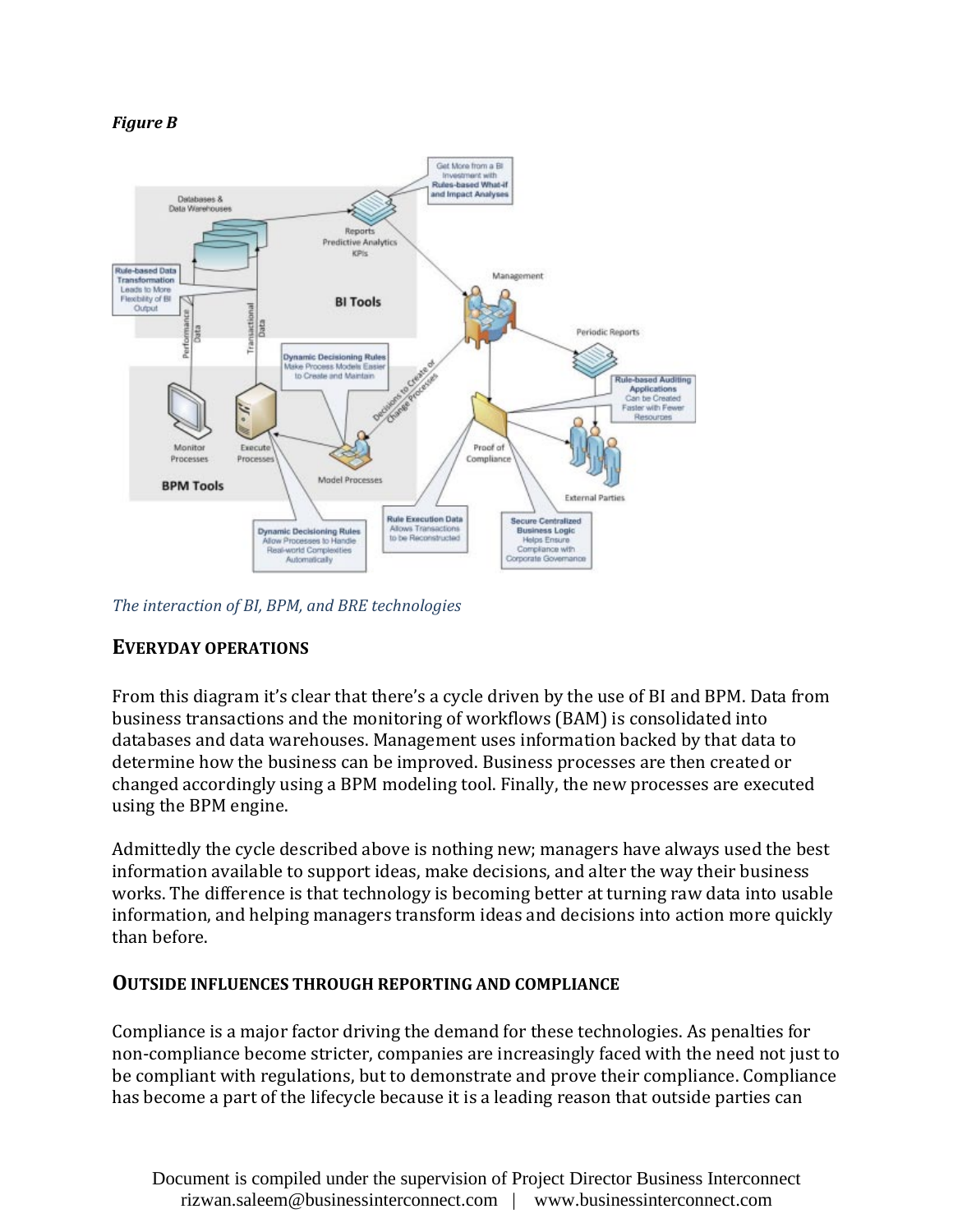



*The interaction of BI, BPM, and BRE technologies*

## **EVERYDAY OPERATIONS**

From this diagram it's clear that there's a cycle driven by the use of BI and BPM. Data from business transactions and the monitoring of workflows (BAM) is consolidated into databases and data warehouses. Management uses information backed by that data to determine how the business can be improved. Business processes are then created or changed accordingly using a BPM modeling tool. Finally, the new processes are executed using the BPM engine.

Admittedly the cycle described above is nothing new; managers have always used the best information available to support ideas, make decisions, and alter the way their business works. The difference is that technology is becoming better at turning raw data into usable information, and helping managers transform ideas and decisions into action more quickly than before.

#### **OUTSIDE INFLUENCES THROUGH REPORTING AND COMPLIANCE**

Compliance is a major factor driving the demand for these technologies. As penalties for non-compliance become stricter, companies are increasingly faced with the need not just to be compliant with regulations, but to demonstrate and prove their compliance. Compliance has become a part of the lifecycle because it is a leading reason that outside parties can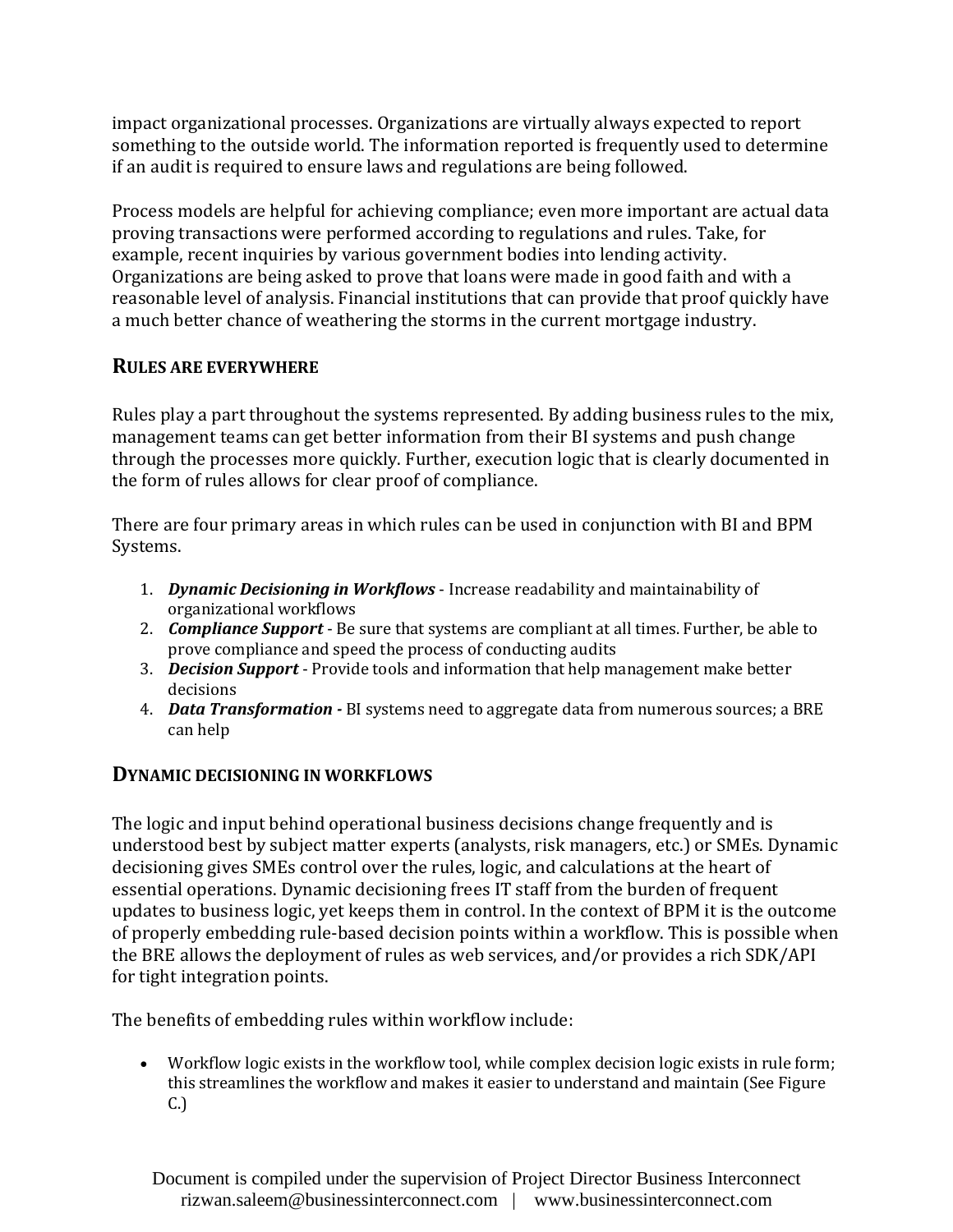impact organizational processes. Organizations are virtually always expected to report something to the outside world. The information reported is frequently used to determine if an audit is required to ensure laws and regulations are being followed.

Process models are helpful for achieving compliance; even more important are actual data proving transactions were performed according to regulations and rules. Take, for example, recent inquiries by various government bodies into lending activity. Organizations are being asked to prove that loans were made in good faith and with a reasonable level of analysis. Financial institutions that can provide that proof quickly have a much better chance of weathering the storms in the current mortgage industry.

# **RULES ARE EVERYWHERE**

Rules play a part throughout the systems represented. By adding business rules to the mix, management teams can get better information from their BI systems and push change through the processes more quickly. Further, execution logic that is clearly documented in the form of rules allows for clear proof of compliance.

There are four primary areas in which rules can be used in conjunction with BI and BPM Systems.

- 1. *Dynamic Decisioning in Workflows* Increase readability and maintainability of organizational workflows
- 2. *Compliance Support* Be sure that systems are compliant at all times. Further, be able to prove compliance and speed the process of conducting audits
- 3. *Decision Support* Provide tools and information that help management make better decisions
- 4. *Data Transformation -* BI systems need to aggregate data from numerous sources; a BRE can help

## **DYNAMIC DECISIONING IN WORKFLOWS**

The logic and input behind operational business decisions change frequently and is understood best by subject matter experts (analysts, risk managers, etc.) or SMEs. Dynamic decisioning gives SMEs control over the rules, logic, and calculations at the heart of essential operations. Dynamic decisioning frees IT staff from the burden of frequent updates to business logic, yet keeps them in control. In the context of BPM it is the outcome of properly embedding rule-based decision points within a workflow. This is possible when the BRE allows the deployment of rules as web services, and/or provides a rich SDK/API for tight integration points.

The benefits of embedding rules within workflow include:

• Workflow logic exists in the workflow tool, while complex decision logic exists in rule form; this streamlines the workflow and makes it easier to understand and maintain (See Figure C.)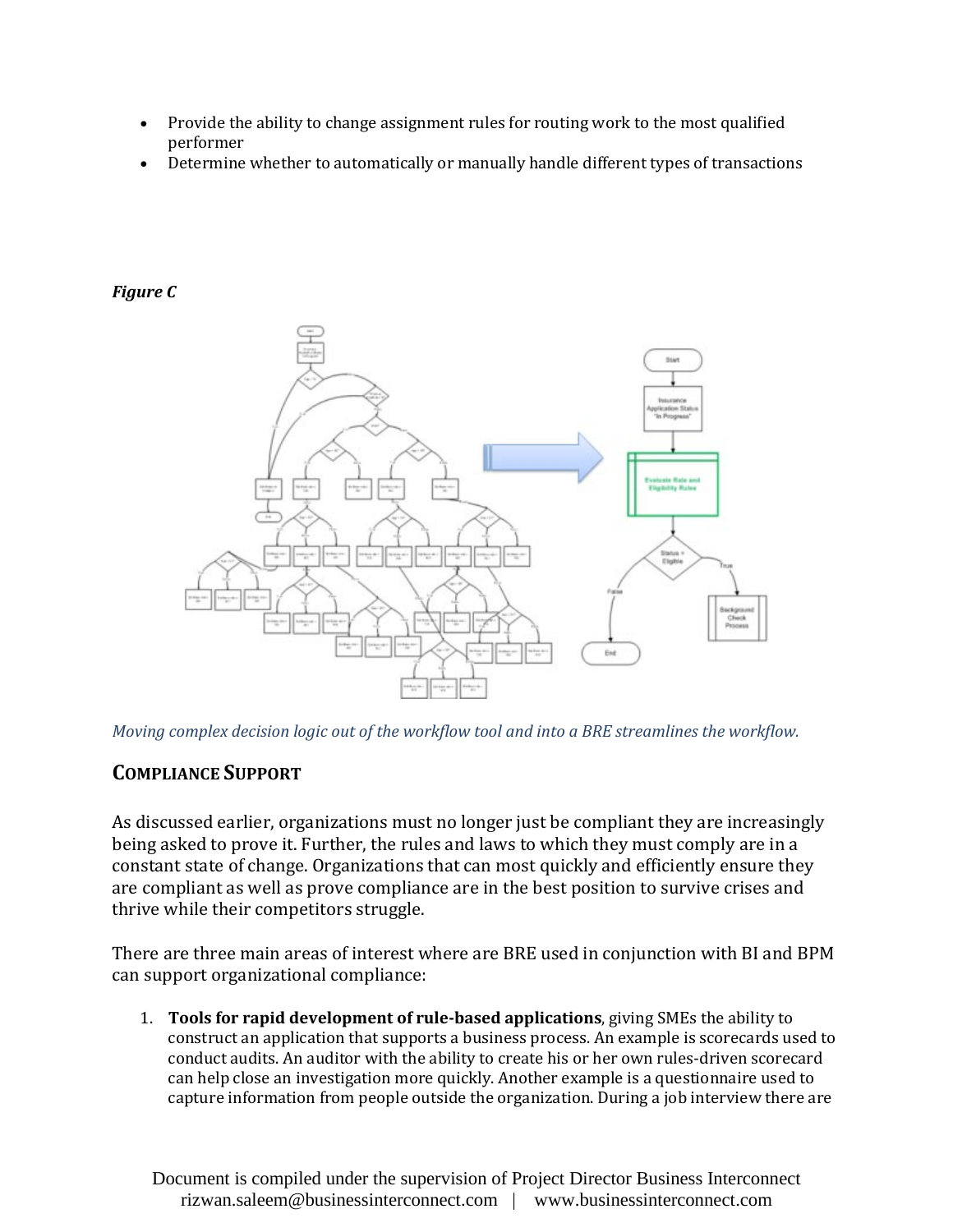- Provide the ability to change assignment rules for routing work to the most qualified performer
- Determine whether to automatically or manually handle different types of transactions

#### *Figure C*



*Moving complex decision logic out of the workflow tool and into a BRE streamlines the workflow.*

# **COMPLIANCE SUPPORT**

As discussed earlier, organizations must no longer just be compliant they are increasingly being asked to prove it. Further, the rules and laws to which they must comply are in a constant state of change. Organizations that can most quickly and efficiently ensure they are compliant as well as prove compliance are in the best position to survive crises and thrive while their competitors struggle.

There are three main areas of interest where are BRE used in conjunction with BI and BPM can support organizational compliance:

1. **Tools for rapid development of rule-based applications**, giving SMEs the ability to construct an application that supports a business process. An example is scorecards used to conduct audits. An auditor with the ability to create his or her own rules-driven scorecard can help close an investigation more quickly. Another example is a questionnaire used to capture information from people outside the organization. During a job interview there are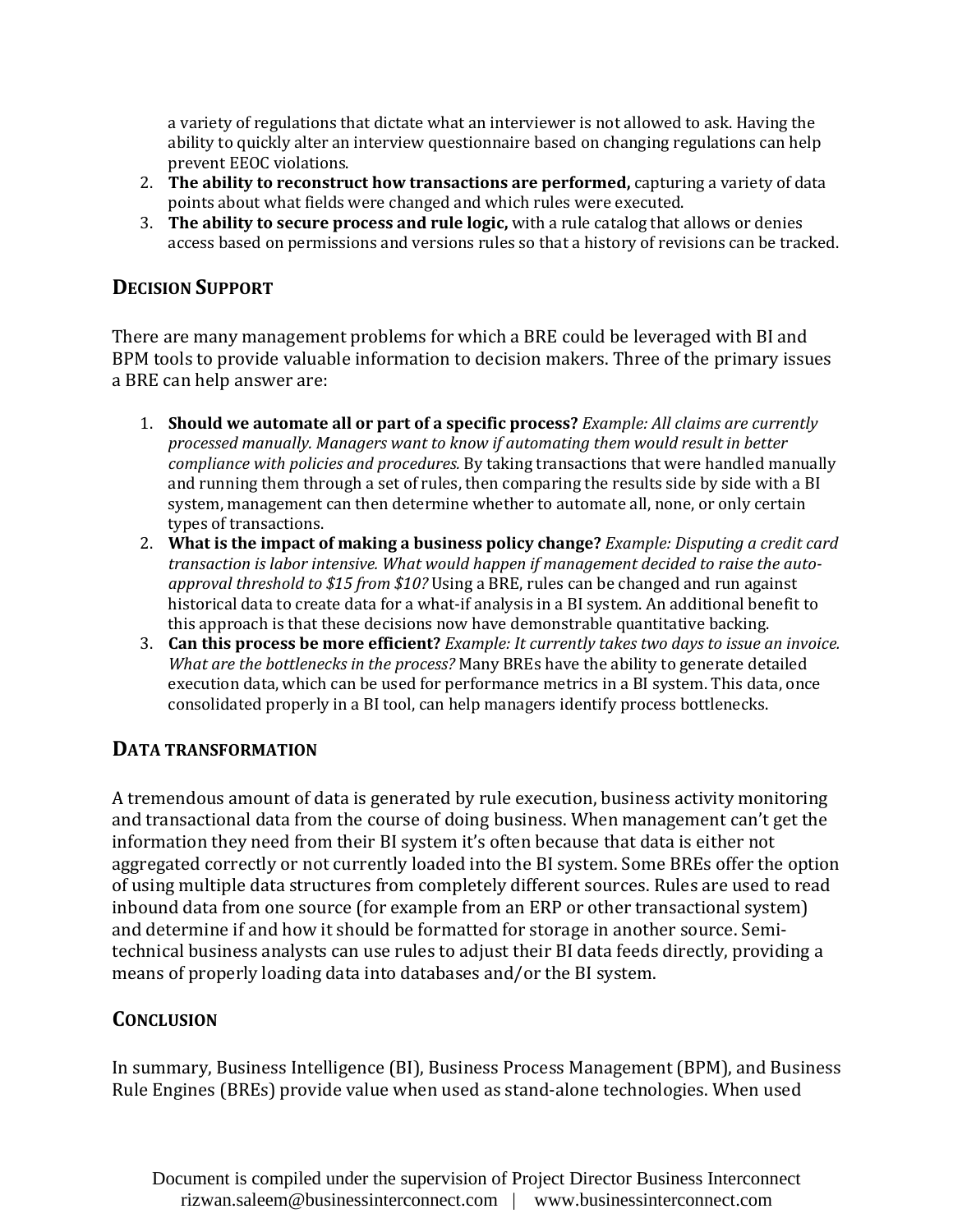a variety of regulations that dictate what an interviewer is not allowed to ask. Having the ability to quickly alter an interview questionnaire based on changing regulations can help prevent EEOC violations.

- 2. **The ability to reconstruct how transactions are performed,** capturing a variety of data points about what fields were changed and which rules were executed.
- 3. **The ability to secure process and rule logic,** with a rule catalog that allows or denies access based on permissions and versions rules so that a history of revisions can be tracked.

## **DECISION SUPPORT**

There are many management problems for which a BRE could be leveraged with BI and BPM tools to provide valuable information to decision makers. Three of the primary issues a BRE can help answer are:

- 1. **Should we automate all or part of a specific process?** *Example: All claims are currently processed manually. Managers want to know if automating them would result in better compliance with policies and procedures.* By taking transactions that were handled manually and running them through a set of rules, then comparing the results side by side with a BI system, management can then determine whether to automate all, none, or only certain types of transactions.
- 2. **What is the impact of making a business policy change?** *Example: Disputing a credit card transaction is labor intensive. What would happen if management decided to raise the autoapproval threshold to \$15 from \$10?* Using a BRE, rules can be changed and run against historical data to create data for a what-if analysis in a BI system. An additional benefit to this approach is that these decisions now have demonstrable quantitative backing.
- 3. **Can this process be more efficient?** *Example: It currently takes two days to issue an invoice. What are the bottlenecks in the process?* Many BREs have the ability to generate detailed execution data, which can be used for performance metrics in a BI system. This data, once consolidated properly in a BI tool, can help managers identify process bottlenecks.

## **DATA TRANSFORMATION**

A tremendous amount of data is generated by rule execution, business activity monitoring and transactional data from the course of doing business. When management can't get the information they need from their BI system it's often because that data is either not aggregated correctly or not currently loaded into the BI system. Some BREs offer the option of using multiple data structures from completely different sources. Rules are used to read inbound data from one source (for example from an ERP or other transactional system) and determine if and how it should be formatted for storage in another source. Semitechnical business analysts can use rules to adjust their BI data feeds directly, providing a means of properly loading data into databases and/or the BI system.

# **CONCLUSION**

In summary, Business Intelligence (BI), Business Process Management (BPM), and Business Rule Engines (BREs) provide value when used as stand-alone technologies. When used